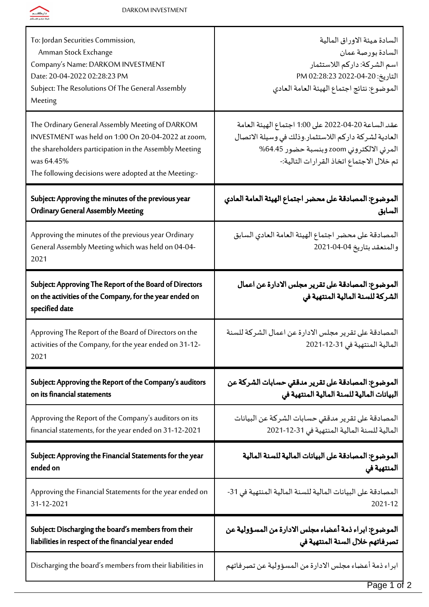

| To: Jordan Securities Commission,<br>Amman Stock Exchange<br>Company's Name: DARKOM INVESTMENT<br>Date: 20-04-2022 02:28:23 PM<br>Subject: The Resolutions Of The General Assembly<br>Meeting                                          | السادة ميئة الاوراق المالية<br>السادة بورصة عمان<br>اسم الشركة: داركم اللاستثمار<br>التاريخ: 20-04-2022 PM 02:28:23<br>الموضوع: نتائج اجتماع الهيئة العامة العادي                                     |
|----------------------------------------------------------------------------------------------------------------------------------------------------------------------------------------------------------------------------------------|-------------------------------------------------------------------------------------------------------------------------------------------------------------------------------------------------------|
| The Ordinary General Assembly Meeting of DARKOM<br>INVESTMENT was held on 1:00 On 20-04-2022 at zoom,<br>the shareholders participation in the Assembly Meeting<br>was 64.45%<br>The following decisions were adopted at the Meeting:- | عقد الساعة 20-04-2022 على 1:00 اجتماع الهيئة العامة<br>العادية لشركة داركم اللاستثمار وذلك في وسيلة الاتصال<br>المرئي الالكتروني zoom وبنسبة حضور 64.45%<br>تم خلال الاجتماع اتخاذ القرارات التالية:- |
| Subject: Approving the minutes of the previous year                                                                                                                                                                                    | الموضوع: المصادقة على محضر اجتماع الهيئة العامة العادي                                                                                                                                                |
| <b>Ordinary General Assembly Meeting</b>                                                                                                                                                                                               | السابق                                                                                                                                                                                                |
| Approving the minutes of the previous year Ordinary<br>General Assembly Meeting which was held on 04-04-<br>2021                                                                                                                       | المصادقة على محضر اجتماع الهيئة العامة العادي السابق<br>والمنعقد بتاريخ 04-04-2021                                                                                                                    |
| Subject: Approving The Report of the Board of Directors<br>on the activities of the Company, for the year ended on<br>specified date                                                                                                   | الموضوع: المصادقة على تقرير مجلس الادارة عن اعمال<br>الشركة للسنة المالية المنتهية في                                                                                                                 |
| Approving The Report of the Board of Directors on the<br>activities of the Company, for the year ended on 31-12-<br>2021                                                                                                               | المصادقة على تقرير مجلس الادارة عن اعمال الشركة للسنة<br>المالية المنتهية في 31-12-2021                                                                                                               |
| Subject: Approving the Report of the Company's auditors                                                                                                                                                                                | الموضوع: المصادقة على تقرير مدققي حسابات الشركة عن                                                                                                                                                    |
| on its financial statements                                                                                                                                                                                                            | البيانات المالية للسنة المالية المنتهية في                                                                                                                                                            |
| Approving the Report of the Company's auditors on its                                                                                                                                                                                  | المصادقة على تقرير مدققى حسابات الشركة عن البيانات                                                                                                                                                    |
| financial statements, for the year ended on 31-12-2021                                                                                                                                                                                 | المالية للسنة المالية المنتهية في 31-12-2021                                                                                                                                                          |
| Subject: Approving the Financial Statements for the year                                                                                                                                                                               | الموضوع: المصادقة على البيانات المالية للسنة المالية                                                                                                                                                  |
| ended on                                                                                                                                                                                                                               | المنتهية في                                                                                                                                                                                           |
| Approving the Financial Statements for the year ended on                                                                                                                                                                               | المصادقة على البيانات المالية للسنة المالية المنتهية في 31-                                                                                                                                           |
| 31-12-2021                                                                                                                                                                                                                             | 2021-12                                                                                                                                                                                               |
| Subject: Discharging the board's members from their                                                                                                                                                                                    | الموضوع: ابراء ذمة أعضاء مجلس الادارة من المسؤولية عن                                                                                                                                                 |
| liabilities in respect of the financial year ended                                                                                                                                                                                     | تصرفاتهم خلال السنة المنتهية في                                                                                                                                                                       |
| Discharging the board's members from their liabilities in                                                                                                                                                                              | ابراء ذمة أعضاء مجلس الادارة من المسؤولية عن تصرفاتهم                                                                                                                                                 |